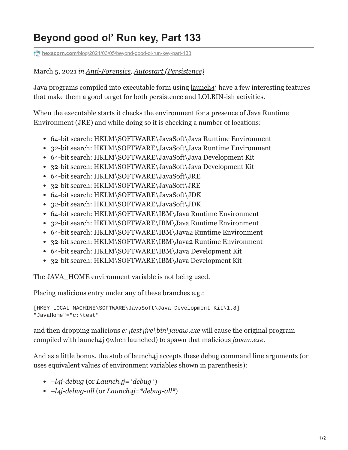## **Beyond good ol' Run key, Part 133**

**hexacorn.com**[/blog/2021/03/05/beyond-good-ol-run-key-part-133](https://www.hexacorn.com/blog/2021/03/05/beyond-good-ol-run-key-part-133/)

## March 5, 2021 *in [Anti-Forensics,](https://www.hexacorn.com/blog/category/anti-forensics/) [Autostart \(Persistence\)](https://www.hexacorn.com/blog/category/autostart-persistence/)*

Java programs compiled into executable form using [launch4j](http://launch4j.sourceforge.net/) have a few interesting features that make them a good target for both persistence and LOLBIN-ish activities.

When the executable starts it checks the environment for a presence of Java Runtime Environment (JRE) and while doing so it is checking a number of locations:

- 64-bit search: HKLM\SOFTWARE\JavaSoft\Java Runtime Environment
- 32-bit search: HKLM\SOFTWARE\JavaSoft\Java Runtime Environment
- 64-bit search: HKLM\SOFTWARE\JavaSoft\Java Development Kit
- 32-bit search: HKLM\SOFTWARE\JavaSoft\Java Development Kit
- 64-bit search: HKLM\SOFTWARE\JavaSoft\JRE
- 32-bit search: HKLM\SOFTWARE\JavaSoft\JRE
- 64-bit search: HKLM\SOFTWARE\JavaSoft\JDK
- 32-bit search: HKLM\SOFTWARE\JavaSoft\JDK
- 64-bit search: HKLM\SOFTWARE\IBM\Java Runtime Environment
- 32-bit search: HKLM\SOFTWARE\IBM\Java Runtime Environment
- 64-bit search: HKLM\SOFTWARE\IBM\Java2 Runtime Environment
- 32-bit search: HKLM\SOFTWARE\IBM\Java2 Runtime Environment
- 64-bit search: HKLM\SOFTWARE\IBM\Java Development Kit
- 32-bit search: HKLM\SOFTWARE\IBM\Java Development Kit

The JAVA\_HOME environment variable is not being used.

Placing malicious entry under any of these branches e.g.:

```
[HKEY_LOCAL_MACHINE\SOFTWARE\JavaSoft\Java Development Kit\1.8]
"JavaHome"="c:\test"
```
and then dropping malicious *c:\test\jre\bin\javaw.exe* will cause the original program compiled with launch4j 9when launched) to spawn that malicious *javaw.exe*.

And as a little bonus, the stub of launch4j accepts these debug command line arguments (or uses equivalent values of environment variables shown in parenthesis):

- *–l4j-debug* (or *Launch4j=\*debug\**)
- *–l4j-debug-all* (or *Launch4j=\*debug-all\**)